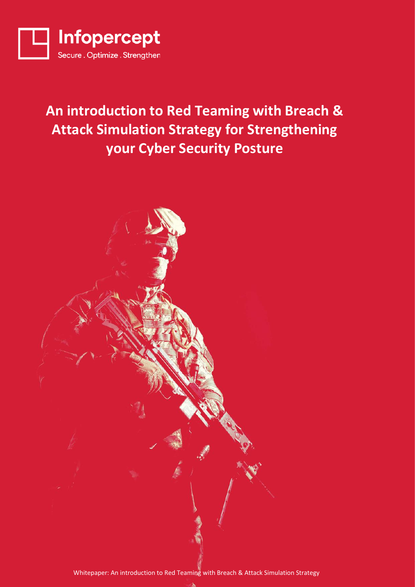

## An introduction to Red Teaming with Breach & **Attack Simulation Strategy for Strengthening your Cyber Security Posture**

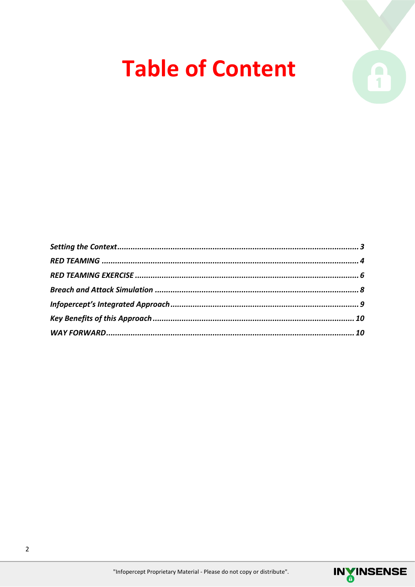## **Table of Content**



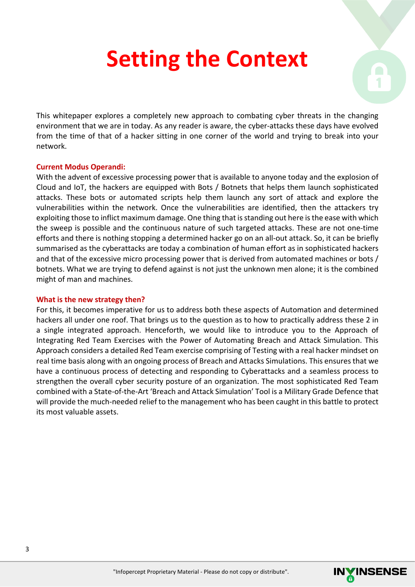## **Setting the Context**



This whitepaper explores a completely new approach to combating cyber threats in the changing environment that we are in today. As any reader is aware, the cyber-attacks these days have evolved from the time of that of a hacker sitting in one corner of the world and trying to break into your network.

### **Current Modus Operandi:**

With the advent of excessive processing power that is available to anyone today and the explosion of Cloud and IoT, the hackers are equipped with Bots / Botnets that helps them launch sophisticated attacks. These bots or automated scripts help them launch any sort of attack and explore the vulnerabilities within the network. Once the vulnerabilities are identified, then the attackers try exploiting those to inflict maximum damage. One thing that is standing out here is the ease with which the sweep is possible and the continuous nature of such targeted attacks. These are not one-time efforts and there is nothing stopping a determined hacker go on an all-out attack. So, it can be briefly summarised as the cyberattacks are today a combination of human effort as in sophisticated hackers and that of the excessive micro processing power that is derived from automated machines or bots / botnets. What we are trying to defend against is not just the unknown men alone; it is the combined might of man and machines.

### **What is the new strategy then?**

For this, it becomes imperative for us to address both these aspects of Automation and determined hackers all under one roof. That brings us to the question as to how to practically address these 2 in a single integrated approach. Henceforth, we would like to introduce you to the Approach of Integrating Red Team Exercises with the Power of Automating Breach and Attack Simulation. This Approach considers a detailed Red Team exercise comprising of Testing with a real hacker mindset on real time basis along with an ongoing process of Breach and Attacks Simulations. This ensures that we have a continuous process of detecting and responding to Cyberattacks and a seamless process to strengthen the overall cyber security posture of an organization. The most sophisticated Red Team combined with a State-of-the-Art 'Breach and Attack Simulation' Tool is a Military Grade Defence that will provide the much-needed relief to the management who has been caught in this battle to protect its most valuable assets.

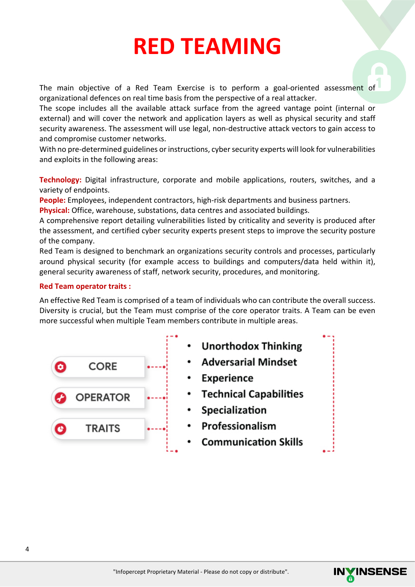## **RED TEAMING**

The main objective of a Red Team Exercise is to perform a goal-oriented assessment of organizational defences on real time basis from the perspective of a real attacker.

The scope includes all the available attack surface from the agreed vantage point (internal or external) and will cover the network and application layers as well as physical security and staff security awareness. The assessment will use legal, non-destructive attack vectors to gain access to and compromise customer networks.

With no pre-determined guidelines or instructions, cyber security experts will look for vulnerabilities and exploits in the following areas:

**Technology:** Digital infrastructure, corporate and mobile applications, routers, switches, and a variety of endpoints.

**People:** Employees, independent contractors, high-risk departments and business partners.

**Physical:** Office, warehouse, substations, data centres and associated buildings.

A comprehensive report detailing vulnerabilities listed by criticality and severity is produced after the assessment, and certified cyber security experts present steps to improve the security posture of the company.

Red Team is designed to benchmark an organizations security controls and processes, particularly around physical security (for example access to buildings and computers/data held within it), general security awareness of staff, network security, procedures, and monitoring.

### **Red Team operator traits :**

An effective Red Team is comprised of a team of individuals who can contribute the overall success. Diversity is crucial, but the Team must comprise of the core operator traits. A Team can be even more successful when multiple Team members contribute in multiple areas.



- **Unorthodox Thinking**
- **Adversarial Mindset**
- Experience
- **Technical Capabilities**
- Specialization
- Professionalism
- **Communication Skills**

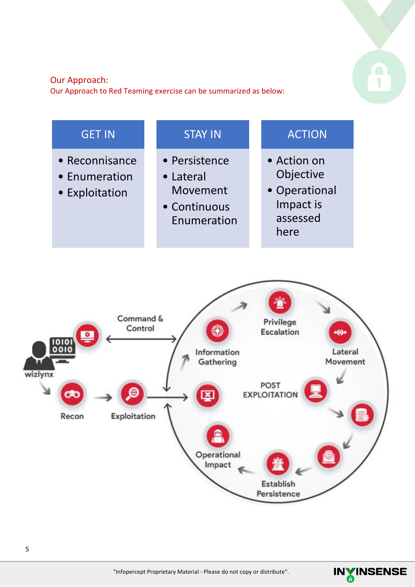### Our Approach:

Our Approach to Red Teaming exercise can be summarized as below:





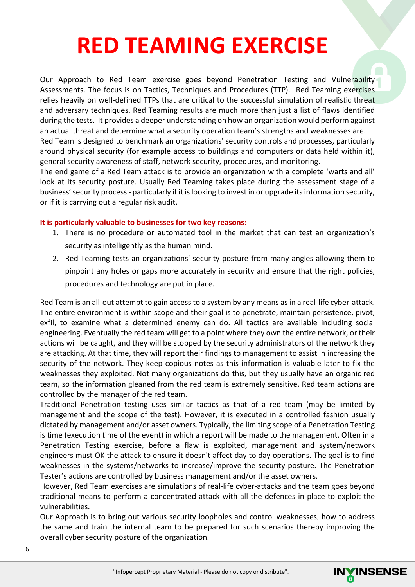## **RED TEAMING EXERCISE**

Our Approach to Red Team exercise goes beyond Penetration Testing and Vulnerability Assessments. The focus is on Tactics, Techniques and Procedures (TTP). Red Teaming exercises relies heavily on well-defined TTPs that are critical to the successful simulation of realistic threat and adversary techniques. Red Teaming results are much more than just a list of flaws identified during the tests. It provides a deeper understanding on how an organization would perform against an actual threat and determine what a security operation team's strengths and weaknesses are. Red Team is designed to benchmark an organizations' security controls and processes, particularly

around physical security (for example access to buildings and computers or data held within it), general security awareness of staff, network security, procedures, and monitoring.

The end game of a Red Team attack is to provide an organization with a complete 'warts and all' look at its security posture. Usually Red Teaming takes place during the assessment stage of a business' security process - particularly if it is looking to invest in or upgrade its information security, or if it is carrying out a regular risk audit.

### **It is particularly valuable to businesses for two key reasons:**

- 1. There is no procedure or automated tool in the market that can test an organization's security as intelligently as the human mind.
- 2. Red Teaming tests an organizations' security posture from many angles allowing them to pinpoint any holes or gaps more accurately in security and ensure that the right policies, procedures and technology are put in place.

Red Team is an all-out attempt to gain access to a system by any means as in a real-life cyber-attack. The entire environment is within scope and their goal is to penetrate, maintain persistence, pivot, exfil, to examine what a determined enemy can do. All tactics are available including social engineering. Eventually the red team will get to a point where they own the entire network, or their actions will be caught, and they will be stopped by the security administrators of the network they are attacking. At that time, they will report their findings to management to assist in increasing the security of the network. They keep copious notes as this information is valuable later to fix the weaknesses they exploited. Not many organizations do this, but they usually have an organic red team, so the information gleaned from the red team is extremely sensitive. Red team actions are controlled by the manager of the red team.

Traditional Penetration testing uses similar tactics as that of a red team (may be limited by management and the scope of the test). However, it is executed in a controlled fashion usually dictated by management and/or asset owners. Typically, the limiting scope of a Penetration Testing is time (execution time of the event) in which a report will be made to the management. Often in a Penetration Testing exercise, before a flaw is exploited, management and system/network engineers must OK the attack to ensure it doesn't affect day to day operations. The goal is to find weaknesses in the systems/networks to increase/improve the security posture. The Penetration Tester's actions are controlled by business management and/or the asset owners.

However, Red Team exercises are simulations of real-life cyber-attacks and the team goes beyond traditional means to perform a concentrated attack with all the defences in place to exploit the vulnerabilities.

Our Approach is to bring out various security loopholes and control weaknesses, how to address the same and train the internal team to be prepared for such scenarios thereby improving the overall cyber security posture of the organization.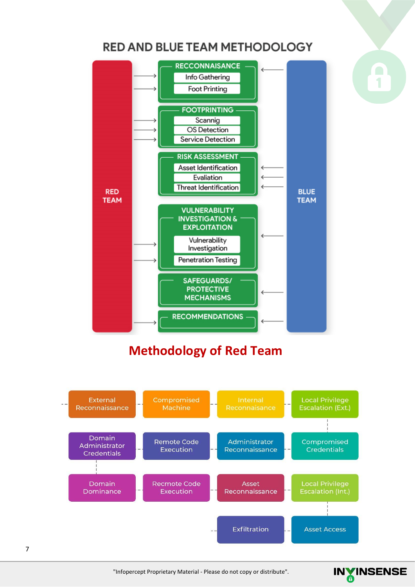### **RED AND BLUE TEAM METHODOLOGY**



### **Methodology of Red Team**



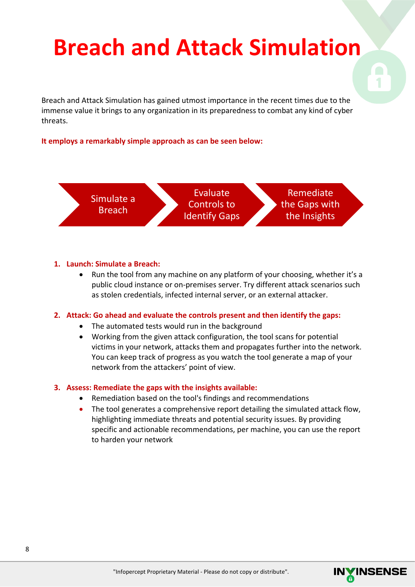## **Breach and Attack Simulation**

Breach and Attack Simulation has gained utmost importance in the recent times due to the immense value it brings to any organization in its preparedness to combat any kind of cyber threats.

**It employs a remarkably simple approach as can be seen below:**



### **1. Launch: Simulate a Breach:**

• Run the tool from any machine on any platform of your choosing, whether it's a public cloud instance or on-premises server. Try different attack scenarios such as stolen credentials, infected internal server, or an external attacker.

### **2. Attack: Go ahead and evaluate the controls present and then identify the gaps:**

- The automated tests would run in the background
- Working from the given attack configuration, the tool scans for potential victims in your network, attacks them and propagates further into the network. You can keep track of progress as you watch the tool generate a map of your network from the attackers' point of view.

### **3. Assess: Remediate the gaps with the insights available:**

- Remediation based on the tool's findings and recommendations
- The tool generates a comprehensive report detailing the simulated attack flow, highlighting immediate threats and potential security issues. By providing specific and actionable recommendations, per machine, you can use the report to harden your network

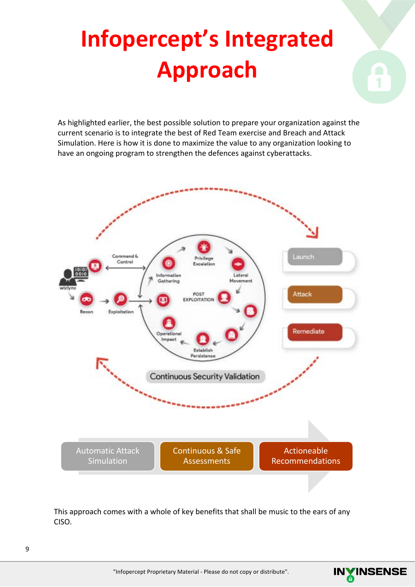# **Infopercept's Integrated Approach**

As highlighted earlier, the best possible solution to prepare your organization against the current scenario is to integrate the best of Red Team exercise and Breach and Attack Simulation. Here is how it is done to maximize the value to any organization looking to have an ongoing program to strengthen the defences against cyberattacks.



This approach comes with a whole of key benefits that shall be music to the ears of any CISO.

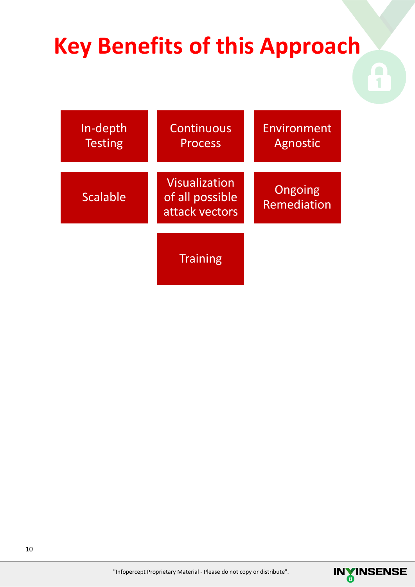## **Key Benefits of this Approach**

| In-depth<br><b>Testing</b> | Continuous<br><b>Process</b>                       | Environment<br>Agnostic |
|----------------------------|----------------------------------------------------|-------------------------|
| <b>Scalable</b>            | Visualization<br>of all possible<br>attack vectors | Ongoing<br>Remediation  |
|                            | <b>Training</b>                                    |                         |

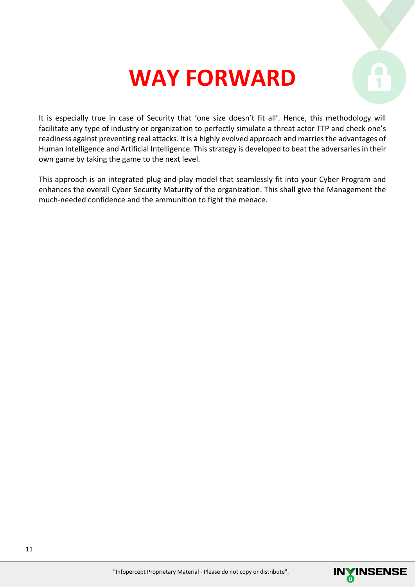## **WAY FORWARD**

It is especially true in case of Security that 'one size doesn't fit all'. Hence, this methodology will facilitate any type of industry or organization to perfectly simulate a threat actor TTP and check one's readiness against preventing real attacks. It is a highly evolved approach and marries the advantages of Human Intelligence and Artificial Intelligence. This strategy is developed to beat the adversaries in their own game by taking the game to the next level.

This approach is an integrated plug-and-play model that seamlessly fit into your Cyber Program and enhances the overall Cyber Security Maturity of the organization. This shall give the Management the much-needed confidence and the ammunition to fight the menace.